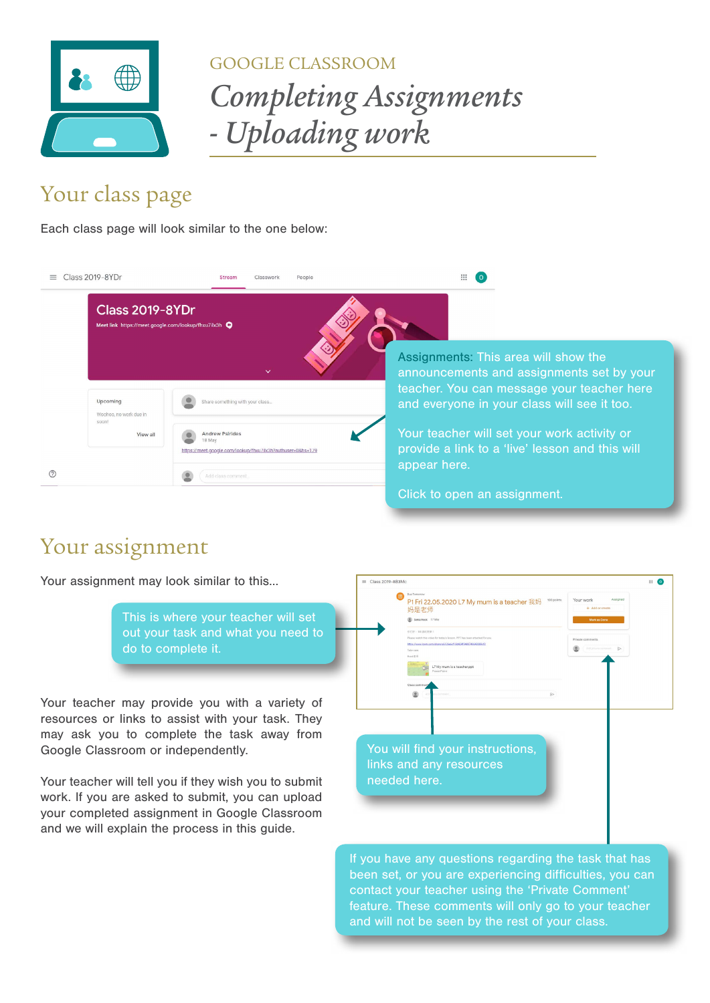

## GOOGLE CLASSROOM

*Completing Assignments - Uploading work*

## Your class page

Each class page will look similar to the one below:

| Class 2019-8YDr<br>$=$             | Stream<br>Classwork<br>People                                                                                         | ₩                                                                                                                                                                              |
|------------------------------------|-----------------------------------------------------------------------------------------------------------------------|--------------------------------------------------------------------------------------------------------------------------------------------------------------------------------|
| <b>Class 2019-8YDr</b>             | Meet link https://meet.google.com/lookup/fhxu7ilx3h                                                                   |                                                                                                                                                                                |
| Upcoming<br>Woohoo, no work due in | $\checkmark$<br>Share something with your class                                                                       | Assignments: This area will show the<br>announcements and assignments set by your<br>teacher. You can message your teacher here<br>and everyone in your class will see it too. |
| soon!<br>View all                  | <b>Andrew Psirides</b><br>18 May<br>https://meet.google.com/lookup/fhxu7ilx3h?authuser=0&hs=179<br>Add class comment. | Your teacher will set your work activity or<br>provide a link to a 'live' lesson and this will<br>appear here.                                                                 |
|                                    |                                                                                                                       | Click to open an assignment.                                                                                                                                                   |

## Your assignment

Your assignment may look similar to this...

This is where your teacher will set out your task and what you need to do to complete it.

Your teacher may provide you with a variety of resources or links to assist with your task. They may ask you to complete the task away from Google Classroom or independently.

Your teacher will tell you if they wish you to submit work. If you are asked to submit, you can upload your completed assignment in Google Classroom and we will explain the process in this guide.



been set, or you are experiencing difficulties, you can contact your teacher using the 'Private Comment' feature. These comments will only go to your teacher and will not be seen by the rest of your class.